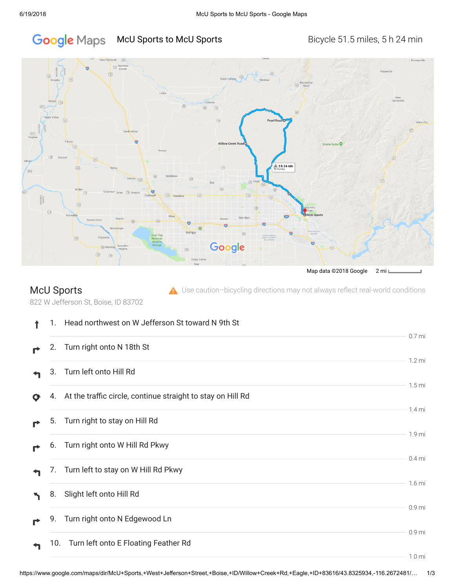# Google Maps McU Sports to McU Sports **Bicycle 51.5 miles, 5 h 24 min**



## McU Sports

 $\triangle$  Use caution-bicycling directions may not always reflect real-world conditions

822 W Jefferson St, Boise, ID 83702

|   | 1.  | Head northwest on W Jefferson St toward N 9th St            |                   |
|---|-----|-------------------------------------------------------------|-------------------|
|   | 2.  | Turn right onto N 18th St                                   | 0.7 <sub>mi</sub> |
|   | 3.  | Turn left onto Hill Rd                                      | $1.2 \text{ mi}$  |
| Ø | 4.  | At the traffic circle, continue straight to stay on Hill Rd | 1.5 <sub>mi</sub> |
|   | 5.  | Turn right to stay on Hill Rd                               | 1.4 <sub>mi</sub> |
|   | 6.  | Turn right onto W Hill Rd Pkwy                              | 1.9 mi            |
|   | 7.  | Turn left to stay on W Hill Rd Pkwy                         | $0.4$ mi          |
|   | 8.  | Slight left onto Hill Rd                                    | 1.6 <sub>mi</sub> |
|   | 9.  | Turn right onto N Edgewood Ln                               | 0.9 mi            |
|   | 10. | Turn left onto E Floating Feather Rd                        | 0.9 <sub>mi</sub> |
|   |     |                                                             | 1.0 <sub>mi</sub> |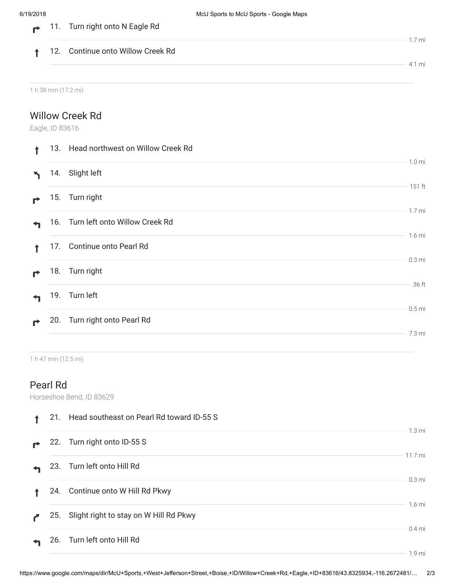$\mathbf{r}$ 

|  |                                   | .7 mi |
|--|-----------------------------------|-------|
|  | 12. Continue onto Willow Creek Rd |       |
|  |                                   | .1 mi |

1 h 38 min (17.2 mi)

#### Willow Creek Rd

11. Turn right onto N Eagle Rd

Eagle, ID 83616

|   |     | 13. Head northwest on Willow Creek Rd |                   |
|---|-----|---------------------------------------|-------------------|
| ↖ | 14. | Slight left                           | 1.0 <sub>m</sub>  |
|   |     | 15. Turn right                        | 151 ft            |
|   |     | 16. Turn left onto Willow Creek Rd    | 1.7 <sub>m</sub>  |
|   |     | 17. Continue onto Pearl Rd            | $1.6$ mi          |
| ₹ |     | 18. Turn right                        | 0.3 <sub>mi</sub> |
|   |     | 19. Turn left                         | 36 ft             |
| ₹ |     | 20. Turn right onto Pearl Rd          | $0.5$ mi          |
|   |     |                                       | 7.3 mi            |

1 h 47 min (12.5 mi)

### Pearl Rd

Horseshoe Bend, ID 83629

|     | 21. Head southeast on Pearl Rd toward ID-55 S |                   |
|-----|-----------------------------------------------|-------------------|
| 22. | Turn right onto ID-55 S                       | $1.3 \text{ mi}$  |
|     | 23. Turn left onto Hill Rd                    | 11.7 mi           |
|     | 24. Continue onto W Hill Rd Pkwy              | $0.3 \text{ mi}$  |
|     | 25. Slight right to stay on W Hill Rd Pkwy    | $1.6$ mi          |
|     | 26. Turn left onto Hill Rd                    | $0.4$ mi          |
|     |                                               | 1.9 <sub>mi</sub> |